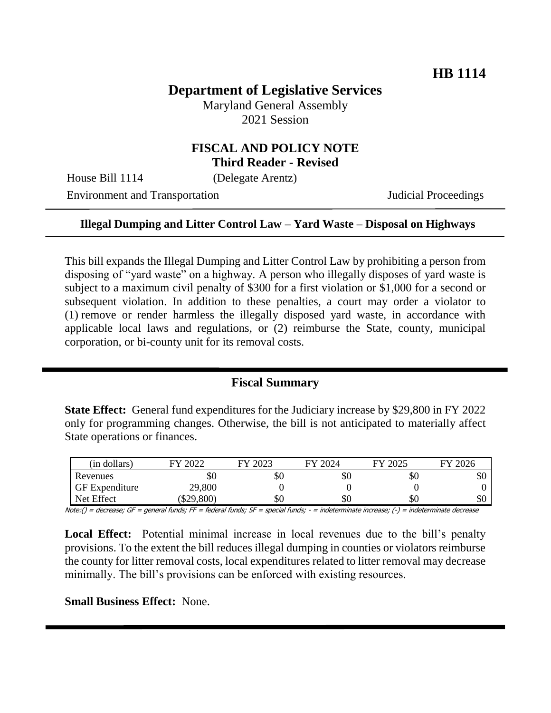# **Department of Legislative Services**

Maryland General Assembly 2021 Session

### **FISCAL AND POLICY NOTE Third Reader - Revised**

House Bill 1114 (Delegate Arentz)

Environment and Transportation **Internal Acceptual Proceedings** 

#### **Illegal Dumping and Litter Control Law – Yard Waste – Disposal on Highways**

This bill expands the Illegal Dumping and Litter Control Law by prohibiting a person from disposing of "yard waste" on a highway. A person who illegally disposes of yard waste is subject to a maximum civil penalty of \$300 for a first violation or \$1,000 for a second or subsequent violation. In addition to these penalties, a court may order a violator to (1) remove or render harmless the illegally disposed yard waste, in accordance with applicable local laws and regulations, or (2) reimburse the State, county, municipal corporation, or bi-county unit for its removal costs.

### **Fiscal Summary**

**State Effect:** General fund expenditures for the Judiciary increase by \$29,800 in FY 2022 only for programming changes. Otherwise, the bill is not anticipated to materially affect State operations or finances.

| (in dollars)          | 2022<br>ГV | 2023<br>ГV | FY 2024 | FY 2025 | 2026<br>FV |
|-----------------------|------------|------------|---------|---------|------------|
| Revenues              | DЛ         | УU         | \$0     | ЭU      | \$0        |
| <b>GF</b> Expenditure | 29,800     |            |         |         |            |
| Net Effect            | \$29,800   | \$0        | \$0     | DЛ      | \$0        |

Note:() = decrease; GF = general funds; FF = federal funds; SF = special funds; - = indeterminate increase; (-) = indeterminate decrease

**Local Effect:** Potential minimal increase in local revenues due to the bill's penalty provisions. To the extent the bill reduces illegal dumping in counties or violators reimburse the county for litter removal costs, local expenditures related to litter removal may decrease minimally. The bill's provisions can be enforced with existing resources.

**Small Business Effect:** None.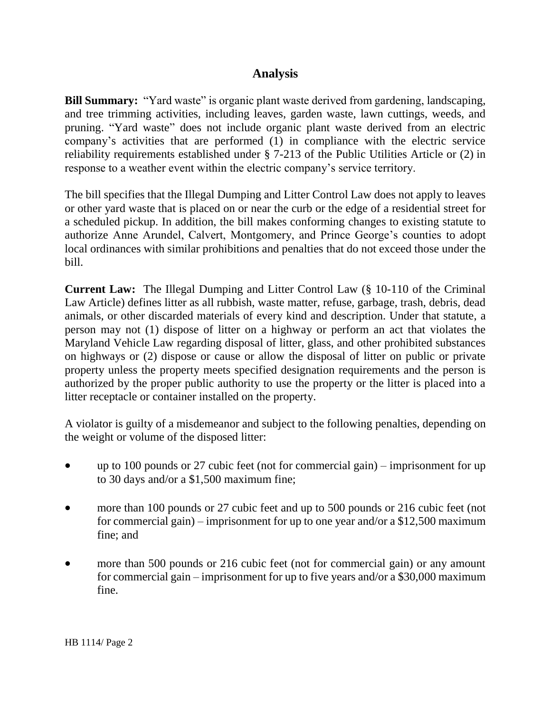# **Analysis**

**Bill Summary:** "Yard waste" is organic plant waste derived from gardening, landscaping, and tree trimming activities, including leaves, garden waste, lawn cuttings, weeds, and pruning. "Yard waste" does not include organic plant waste derived from an electric company's activities that are performed (1) in compliance with the electric service reliability requirements established under § 7-213 of the Public Utilities Article or (2) in response to a weather event within the electric company's service territory.

The bill specifies that the Illegal Dumping and Litter Control Law does not apply to leaves or other yard waste that is placed on or near the curb or the edge of a residential street for a scheduled pickup. In addition, the bill makes conforming changes to existing statute to authorize Anne Arundel, Calvert, Montgomery, and Prince George's counties to adopt local ordinances with similar prohibitions and penalties that do not exceed those under the bill.

**Current Law:** The Illegal Dumping and Litter Control Law (§ 10-110 of the Criminal Law Article) defines litter as all rubbish, waste matter, refuse, garbage, trash, debris, dead animals, or other discarded materials of every kind and description. Under that statute, a person may not (1) dispose of litter on a highway or perform an act that violates the Maryland Vehicle Law regarding disposal of litter, glass, and other prohibited substances on highways or (2) dispose or cause or allow the disposal of litter on public or private property unless the property meets specified designation requirements and the person is authorized by the proper public authority to use the property or the litter is placed into a litter receptacle or container installed on the property.

A violator is guilty of a misdemeanor and subject to the following penalties, depending on the weight or volume of the disposed litter:

- up to 100 pounds or 27 cubic feet (not for commercial gain) imprisonment for up to 30 days and/or a \$1,500 maximum fine;
- more than 100 pounds or 27 cubic feet and up to 500 pounds or 216 cubic feet (not for commercial gain) – imprisonment for up to one year and/or a \$12,500 maximum fine; and
- more than 500 pounds or 216 cubic feet (not for commercial gain) or any amount for commercial gain – imprisonment for up to five years and/or a \$30,000 maximum fine.